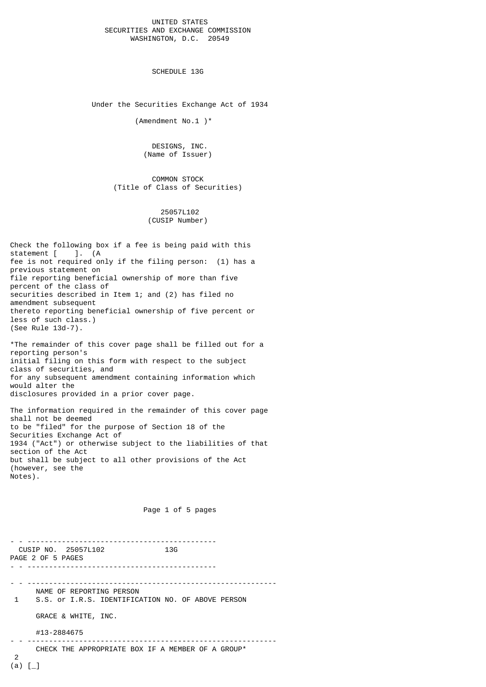## UNITED STATES SECURITIES AND EXCHANGE COMMISSION WASHINGTON, D.C. 20549

SCHEDULE 13G

Under the Securities Exchange Act of 1934

(Amendment No.1 )\*

 DESIGNS, INC. (Name of Issuer)

 COMMON STOCK (Title of Class of Securities)

> 25057L102 (CUSIP Number)

Check the following box if a fee is being paid with this statement [ ]. (A fee is not required only if the filing person: (1) has a previous statement on file reporting beneficial ownership of more than five percent of the class of securities described in Item 1; and (2) has filed no amendment subsequent thereto reporting beneficial ownership of five percent or less of such class.) (See Rule 13d-7).

\*The remainder of this cover page shall be filled out for a reporting person's initial filing on this form with respect to the subject class of securities, and for any subsequent amendment containing information which would alter the disclosures provided in a prior cover page.

The information required in the remainder of this cover page shall not be deemed to be "filed" for the purpose of Section 18 of the Securities Exchange Act of 1934 ("Act") or otherwise subject to the liabilities of that section of the Act but shall be subject to all other provisions of the Act (however, see the Notes).

Page 1 of 5 pages

|          | CUSIP NO. 25057L102<br>13G<br>PAGE 2 OF 5 PAGES                                                      |
|----------|------------------------------------------------------------------------------------------------------|
| 1        | NAME OF REPORTING PERSON<br>S.S. or I.R.S. IDENTIFICATION NO. OF ABOVE PERSON<br>GRACE & WHITE, INC. |
|          | #13-2884675                                                                                          |
| 2<br>(a) | CHECK THE APPROPRIATE BOX IF A MEMBER OF A GROUP*                                                    |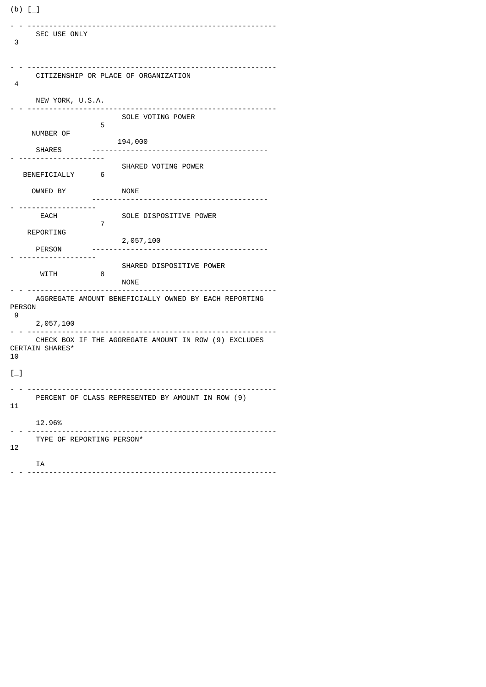(b) [\_] - - ---------------------------------------------------------- SEC USE ONLY 3 - - ---------------------------------------------------------- CITIZENSHIP OR PLACE OF ORGANIZATION 4 NEW YORK, U.S.A. - - ---------------------------------------------------------- SOLE VOTING POWER 5 NUMBER OF 194,000 SHARES ----------------------------------------- - -------------------- SHARED VOTING POWER<br>6 BENEFICIALLY 6 OWNED BY NONE ----------------------------------------- - ------------------ EACH SOLE DISPOSITIVE POWER 7 REPORTING 2,057,100 PERSON ----------------------------------------- - ------------------ SHARED DISPOSITIVE POWER<br>8 **WITH**  NONE - - ---------------------------------------------------------- AGGREGATE AMOUNT BENEFICIALLY OWNED BY EACH REPORTING PERSON 9 2,057,100 - - ---------------------------------------------------------- CHECK BOX IF THE AGGREGATE AMOUNT IN ROW (9) EXCLUDES CERTAIN SHARES\* 10  $[-]$ - - ---------------------------------------------------------- PERCENT OF CLASS REPRESENTED BY AMOUNT IN ROW (9) 11 12.96%<br>-------- - -- - ---------------------------------------------------------- TYPE OF REPORTING PERSON\* 12 IA - - ----------------------------------------------------------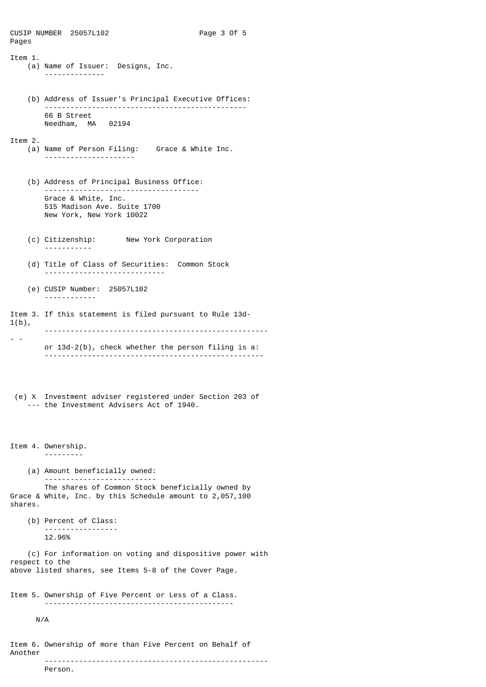CUSIP NUMBER 25057L102 Page 3 Of 5 Pages Item 1. (a) Name of Issuer: Designs, Inc. -------------- (b) Address of Issuer's Principal Executive Offices: ----------------------------------------------- 66 B Street Needham, MA 02194 Item 2. (a) Name of Person Filing: Grace & White Inc. --------------------- (b) Address of Principal Business Office: ------------------------------------ Grace & White, Inc. 515 Madison Ave. Suite 1700 New York, New York 10022 (c) Citizenship: New York Corporation ----------- (d) Title of Class of Securities: Common Stock ---------------------------- (e) CUSIP Number: 25057L102 ------------ Item 3. If this statement is filed pursuant to Rule 13d- $1(b)$ , ---------------------------------------------------- - or 13d-2(b), check whether the person filing is a: --------------------------------------------------- (e) X Investment adviser registered under Section 203 of --- the Investment Advisers Act of 1940. Item 4. Ownership. --------- (a) Amount beneficially owned: -------------------------- The shares of Common Stock beneficially owned by Grace & White, Inc. by this Schedule amount to 2,057,100 shares. (b) Percent of Class: ----------------- 12.96% (c) For information on voting and dispositive power with respect to the above listed shares, see Items 5-8 of the Cover Page. Item 5. Ownership of Five Percent or Less of a Class. -------------------------------------------- N/A Item 6. Ownership of more than Five Percent on Behalf of Another

----------------------------------------------------

Person.